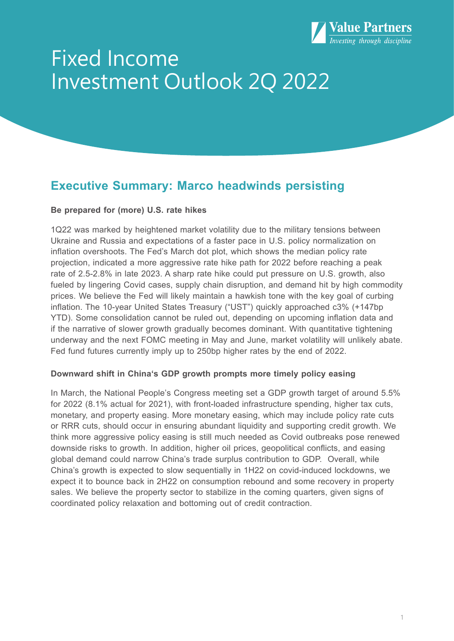

# Fixed Income Investment Outlook 2Q 2022

## **Executive Summary: Marco headwinds persisting**

## **Be prepared for (more) U.S. rate hikes**

1Q22 was marked by heightened market volatility due to the military tensions between Ukraine and Russia and expectations of a faster pace in U.S. policy normalization on inflation overshoots. The Fed's March dot plot, which shows the median policy rate projection, indicated a more aggressive rate hike path for 2022 before reaching a peak rate of 2.5-2.8% in late 2023. A sharp rate hike could put pressure on U.S. growth, also fueled by lingering Covid cases, supply chain disruption, and demand hit by high commodity prices. We believe the Fed will likely maintain a hawkish tone with the key goal of curbing inflation. The 10-year United States Treasury ("UST") quickly approached c3% (+147bp YTD). Some consolidation cannot be ruled out, depending on upcoming inflation data and if the narrative of slower growth gradually becomes dominant. With quantitative tightening underway and the next FOMC meeting in May and June, market volatility will unlikely abate. Fed fund futures currently imply up to 250bp higher rates by the end of 2022.

## **Downward shift in China's GDP growth prompts more timely policy easing**

In March, the National People's Congress meeting set a GDP growth target of around 5.5% for 2022 (8.1% actual for 2021), with front-loaded infrastructure spending, higher tax cuts, monetary, and property easing. More monetary easing, which may include policy rate cuts or RRR cuts, should occur in ensuring abundant liquidity and supporting credit growth. We think more aggressive policy easing is still much needed as Covid outbreaks pose renewed downside risks to growth. In addition, higher oil prices, geopolitical conflicts, and easing global demand could narrow China's trade surplus contribution to GDP. Overall, while China's growth is expected to slow sequentially in 1H22 on covid-induced lockdowns, we expect it to bounce back in 2H22 on consumption rebound and some recovery in property sales. We believe the property sector to stabilize in the coming quarters, given signs of coordinated policy relaxation and bottoming out of credit contraction.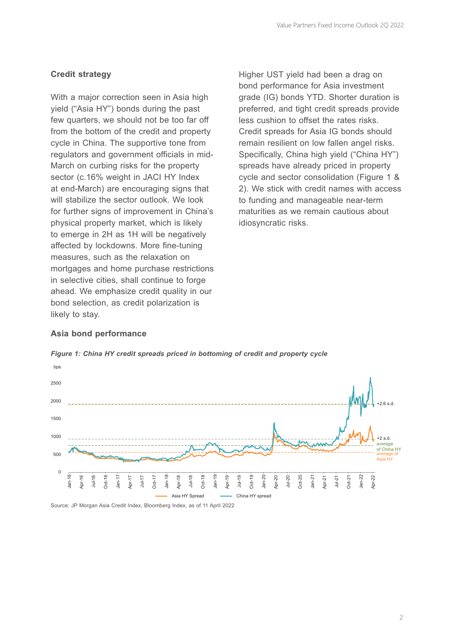## **Credit strategy**

With a major correction seen in Asia high yield ("Asia HY") bonds during the past few quarters, we should not be too far off from the bottom of the credit and property cycle in China. The supportive tone from regulators and government officials in mid-March on curbing risks for the property sector (c.16% weight in JACI HY Index at end-March) are encouraging signs that will stabilize the sector outlook. We look for further signs of improvement in China's physical property market, which is likely to emerge in 2H as 1H will be negatively affected by lockdowns. More fine-tuning measures, such as the relaxation on mortgages and home purchase restrictions in selective cities, shall continue to forge ahead. We emphasize credit quality in our bond selection, as credit polarization is likely to stay.

Higher UST yield had been a drag on bond performance for Asia investment grade (IG) bonds YTD. Shorter duration is preferred, and tight credit spreads provide less cushion to offset the rates risks. Credit spreads for Asia IG bonds should remain resilient on low fallen angel risks. Specifically, China high yield ("China HY") spreads have already priced in property cycle and sector consolidation (Figure 1 & 2). We stick with credit names with access to funding and manageable near-term maturities as we remain cautious about idiosyncratic risks.

## **Asia bond performance**



*Figure 1: China HY credit spreads priced in bottoming of credit and property cycle*

Source: JP Morgan Asia Credit Index, Bloomberg Index, as of 11 April 2022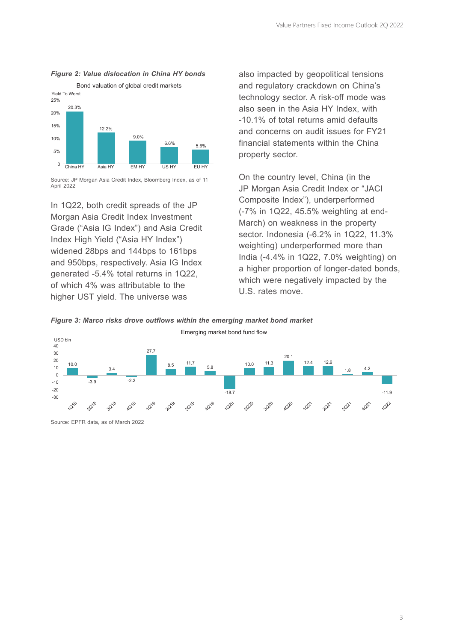## *Figure 2: Value dislocation in China HY bonds*



Source: JP Morgan Asia Credit Index, Bloomberg Index, as of 11 April 2022

In 1Q22, both credit spreads of the JP Morgan Asia Credit Index Investment Grade ("Asia IG Index") and Asia Credit Index High Yield ("Asia HY Index") widened 28bps and 144bps to 161bps and 950bps, respectively. Asia IG Index generated -5.4% total returns in 1Q22, of which 4% was attributable to the higher UST yield. The universe was

also impacted by geopolitical tensions and regulatory crackdown on China's technology sector. A risk-off mode was also seen in the Asia HY Index, with -10.1% of total returns amid defaults and concerns on audit issues for FY21 financial statements within the China property sector.

On the country level, China (in the JP Morgan Asia Credit Index or "JACI Composite Index"), underperformed (-7% in 1Q22, 45.5% weighting at end-March) on weakness in the property sector. Indonesia (-6.2% in 1Q22, 11.3% weighting) underperformed more than India (-4.4% in 1Q22, 7.0% weighting) on a higher proportion of longer-dated bonds, which were negatively impacted by the U.S. rates move.





Source: EPFR data, as of March 2022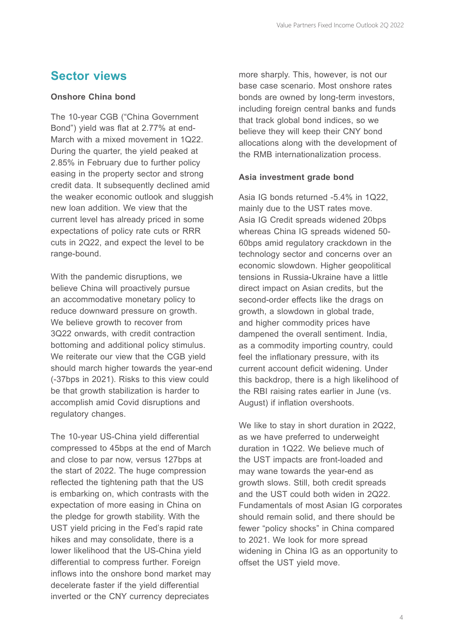## **Sector views**

## **Onshore China bond**

The 10-year CGB ("China Government Bond") yield was flat at 2.77% at end-March with a mixed movement in 1Q22. During the quarter, the yield peaked at 2.85% in February due to further policy easing in the property sector and strong credit data. It subsequently declined amid the weaker economic outlook and sluggish new loan addition. We view that the current level has already priced in some expectations of policy rate cuts or RRR cuts in 2Q22, and expect the level to be range-bound.

With the pandemic disruptions, we believe China will proactively pursue an accommodative monetary policy to reduce downward pressure on growth. We believe growth to recover from 3Q22 onwards, with credit contraction bottoming and additional policy stimulus. We reiterate our view that the CGB yield should march higher towards the year-end (-37bps in 2021). Risks to this view could be that growth stabilization is harder to accomplish amid Covid disruptions and regulatory changes.

The 10-year US-China yield differential compressed to 45bps at the end of March and close to par now, versus 127bps at the start of 2022. The huge compression reflected the tightening path that the US is embarking on, which contrasts with the expectation of more easing in China on the pledge for growth stability. With the UST yield pricing in the Fed's rapid rate hikes and may consolidate, there is a lower likelihood that the US-China yield differential to compress further. Foreign inflows into the onshore bond market may decelerate faster if the yield differential inverted or the CNY currency depreciates

more sharply. This, however, is not our base case scenario. Most onshore rates bonds are owned by long-term investors, including foreign central banks and funds that track global bond indices, so we believe they will keep their CNY bond allocations along with the development of the RMB internationalization process.

### **Asia investment grade bond**

Asia IG bonds returned -5.4% in 1Q22, mainly due to the UST rates move. Asia IG Credit spreads widened 20bps whereas China IG spreads widened 50- 60bps amid regulatory crackdown in the technology sector and concerns over an economic slowdown. Higher geopolitical tensions in Russia-Ukraine have a little direct impact on Asian credits, but the second-order effects like the drags on growth, a slowdown in global trade, and higher commodity prices have dampened the overall sentiment. India, as a commodity importing country, could feel the inflationary pressure, with its current account deficit widening. Under this backdrop, there is a high likelihood of the RBI raising rates earlier in June (vs. August) if inflation overshoots.

We like to stay in short duration in 2Q22, as we have preferred to underweight duration in 1Q22. We believe much of the UST impacts are front-loaded and may wane towards the year-end as growth slows. Still, both credit spreads and the UST could both widen in 2Q22. Fundamentals of most Asian IG corporates should remain solid, and there should be fewer "policy shocks" in China compared to 2021. We look for more spread widening in China IG as an opportunity to offset the UST yield move.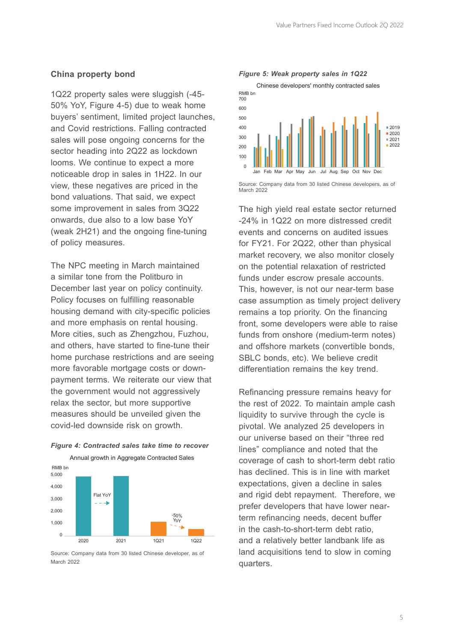#### **China property bond**

1Q22 property sales were sluggish (-45- 50% YoY, Figure 4-5) due to weak home buyers' sentiment, limited project launches, and Covid restrictions. Falling contracted sales will pose ongoing concerns for the sector heading into 2Q22 as lockdown looms. We continue to expect a more noticeable drop in sales in 1H22. In our view, these negatives are priced in the bond valuations. That said, we expect some improvement in sales from 3Q22 onwards, due also to a low base YoY (weak 2H21) and the ongoing fine-tuning of policy measures.

The NPC meeting in March maintained a similar tone from the Politburo in December last year on policy continuity. Policy focuses on fulfilling reasonable housing demand with city-specific policies and more emphasis on rental housing. More cities, such as Zhengzhou, Fuzhou, and others, have started to fine-tune their home purchase restrictions and are seeing more favorable mortgage costs or downpayment terms. We reiterate our view that the government would not aggressively relax the sector, but more supportive measures should be unveiled given the covid-led downside risk on growth.



## *Figure 4: Contracted sales take time to recover*

Source: Company data from 30 listed Chinese developer, as of March 2022



Source: Company data from 30 listed Chinese developers, as of March 2022

The high yield real estate sector returned -24% in 1Q22 on more distressed credit events and concerns on audited issues for FY21. For 2Q22, other than physical market recovery, we also monitor closely on the potential relaxation of restricted funds under escrow presale accounts. This, however, is not our near-term base case assumption as timely project delivery remains a top priority. On the financing front, some developers were able to raise funds from onshore (medium-term notes) and offshore markets (convertible bonds, SBLC bonds, etc). We believe credit differentiation remains the key trend.

Refinancing pressure remains heavy for the rest of 2022. To maintain ample cash liquidity to survive through the cycle is pivotal. We analyzed 25 developers in our universe based on their "three red lines" compliance and noted that the coverage of cash to short-term debt ratio has declined. This is in line with market expectations, given a decline in sales and rigid debt repayment. Therefore, we prefer developers that have lower nearterm refinancing needs, decent buffer in the cash-to-short-term debt ratio, and a relatively better landbank life as land acquisitions tend to slow in coming quarters.